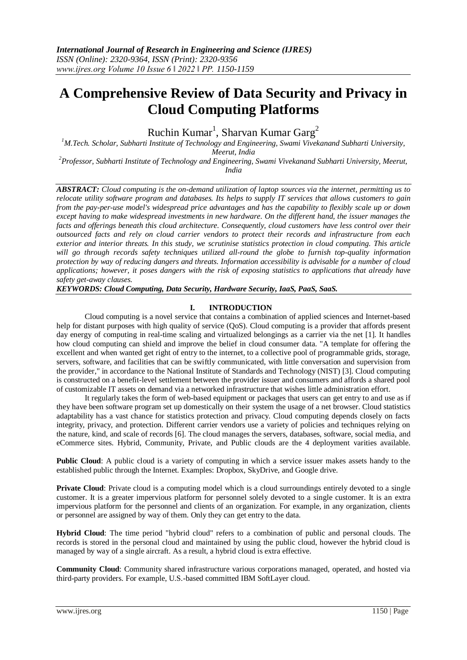# **A Comprehensive Review of Data Security and Privacy in Cloud Computing Platforms**

Ruchin Kumar<sup>1</sup>, Sharvan Kumar Garg<sup>2</sup>

*<sup>1</sup>M.Tech. Scholar, Subharti Institute of Technology and Engineering, Swami Vivekanand Subharti University, Meerut, India*

*<sup>2</sup>Professor, Subharti Institute of Technology and Engineering, Swami Vivekanand Subharti University, Meerut, India*

*ABSTRACT: Cloud computing is the on-demand utilization of laptop sources via the internet, permitting us to relocate utility software program and databases. Its helps to supply IT services that allows customers to gain from the pay-per-use model's widespread price advantages and has the capability to flexibly scale up or down except having to make widespread investments in new hardware. On the different hand, the issuer manages the facts and offerings beneath this cloud architecture. Consequently, cloud customers have less control over their outsourced facts and rely on cloud carrier vendors to protect their records and infrastructure from each exterior and interior threats. In this study, we scrutinise statistics protection in cloud computing. This article will go through records safety techniques utilized all-round the globe to furnish top-quality information protection by way of reducing dangers and threats. Information accessibility is advisable for a number of cloud applications; however, it poses dangers with the risk of exposing statistics to applications that already have safety get-away clauses.*

*KEYWORDS: Cloud Computing, Data Security, Hardware Security, IaaS, PaaS, SaaS.*

## **I. INTRODUCTION**

Cloud computing is a novel service that contains a combination of applied sciences and Internet-based help for distant purposes with high quality of service (QoS). Cloud computing is a provider that affords present day energy of computing in real-time scaling and virtualized belongings as a carrier via the net [1]. It handles how cloud computing can shield and improve the belief in cloud consumer data. "A template for offering the excellent and when wanted get right of entry to the internet, to a collective pool of programmable grids, storage, servers, software, and facilities that can be swiftly communicated, with little conversation and supervision from the provider," in accordance to the National Institute of Standards and Technology (NIST) [3]. Cloud computing is constructed on a benefit-level settlement between the provider issuer and consumers and affords a shared pool of customizable IT assets on demand via a networked infrastructure that wishes little administration effort.

It regularly takes the form of web-based equipment or packages that users can get entry to and use as if they have been software program set up domestically on their system the usage of a net browser. Cloud statistics adaptability has a vast chance for statistics protection and privacy. Cloud computing depends closely on facts integrity, privacy, and protection. Different carrier vendors use a variety of policies and techniques relying on the nature, kind, and scale of records [6]. The cloud manages the servers, databases, software, social media, and eCommerce sites. Hybrid, Community, Private, and Public clouds are the 4 deployment varities available.

**Public Cloud**: A public cloud is a variety of computing in which a service issuer makes assets handy to the established public through the Internet. Examples: Dropbox, SkyDrive, and Google drive.

**Private Cloud:** Private cloud is a computing model which is a cloud surroundings entirely devoted to a single customer. It is a greater impervious platform for personnel solely devoted to a single customer. It is an extra impervious platform for the personnel and clients of an organization. For example, in any organization, clients or personnel are assigned by way of them. Only they can get entry to the data.

**Hybrid Cloud**: The time period "hybrid cloud" refers to a combination of public and personal clouds. The records is stored in the personal cloud and maintained by using the public cloud, however the hybrid cloud is managed by way of a single aircraft. As a result, a hybrid cloud is extra effective.

**Community Cloud**: Community shared infrastructure various corporations managed, operated, and hosted via third-party providers. For example, U.S.-based committed IBM SoftLayer cloud.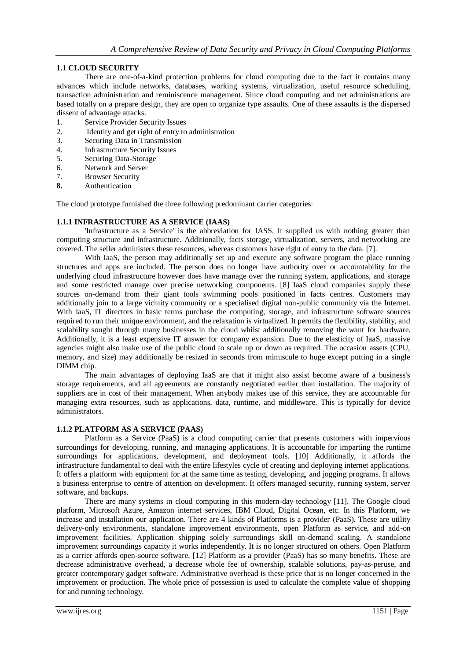## **1.1 CLOUD SECURITY**

There are one-of-a-kind protection problems for cloud computing due to the fact it contains many advances which include networks, databases, working systems, virtualization, useful resource scheduling, transaction administration and reminiscence management. Since cloud computing and net administrations are based totally on a prepare design, they are open to organize type assaults. One of these assaults is the dispersed dissent of advantage attacks.

- 1. Service Provider Security Issues
- 2. Identity and get right of entry to administration
- 3. Securing Data in Transmission
- 4. Infrastructure Security Issues
- 5. Securing Data-Storage
- 6. Network and Server
- 7. Browser Security
- **8.** Authentication

The cloud prototype furnished the three following predominant carrier categories:

#### **1.1.1 INFRASTRUCTURE AS A SERVICE (IAAS)**

'Infrastructure as a Service' is the abbreviation for IASS. It supplied us with nothing greater than computing structure and infrastructure. Additionally, facts storage, virtualization, servers, and networking are covered. The seller administers these resources, whereas customers have right of entry to the data. [7].

With IaaS, the person may additionally set up and execute any software program the place running structures and apps are included. The person does no longer have authority over or accountability for the underlying cloud infrastructure however does have manage over the running system, applications, and storage and some restricted manage over precise networking components. [8] IaaS cloud companies supply these sources on-demand from their giant tools swimming pools positioned in facts centres. Customers may additionally join to a large vicinity community or a specialised digital non-public community via the Internet. With IaaS, IT directors in basic terms purchase the computing, storage, and infrastructure software sources required to run their unique environment, and the relaxation is virtualized. It permits the flexibility, stability, and scalability sought through many businesses in the cloud whilst additionally removing the want for hardware. Additionally, it is a least expensive IT answer for company expansion. Due to the elasticity of IaaS, massive agencies might also make use of the public cloud to scale up or down as required. The occasion assets (CPU, memory, and size) may additionally be resized in seconds from minuscule to huge except putting in a single DIMM chip.

The main advantages of deploying IaaS are that it might also assist become aware of a business's storage requirements, and all agreements are constantly negotiated earlier than installation. The majority of suppliers are in cost of their management. When anybody makes use of this service, they are accountable for managing extra resources, such as applications, data, runtime, and middleware. This is typically for device administrators.

#### **1.1.2 PLATFORM AS A SERVICE (PAAS)**

Platform as a Service (PaaS) is a cloud computing carrier that presents customers with impervious surroundings for developing, running, and managing applications. It is accountable for imparting the runtime surroundings for applications, development, and deployment tools. [10] Additionally, it affords the infrastructure fundamental to deal with the entire lifestyles cycle of creating and deploying internet applications. It offers a platform with equipment for at the same time as testing, developing, and jogging programs. It allows a business enterprise to centre of attention on development. It offers managed security, running system, server software, and backups.

There are many systems in cloud computing in this modern-day technology [11]. The Google cloud platform, Microsoft Azure, Amazon internet services, IBM Cloud, Digital Ocean, etc. In this Platform, we increase and installation our application. There are 4 kinds of Platforms is a provider (PaaS). These are utility delivery-only environments, standalone improvement environments, open Platform as service, and add-on improvement facilities. Application shipping solely surroundings skill on-demand scaling. A standalone improvement surroundings capacity it works independently. It is no longer structured on others. Open Platform as a carrier affords open-source software. [12] Platform as a provider (PaaS) has so many benefits. These are decrease administrative overhead, a decrease whole fee of ownership, scalable solutions, pay-as-peruse, and greater contemporary gadget software. Administrative overhead is these price that is no longer concerned in the improvement or production. The whole price of possession is used to calculate the complete value of shopping for and running technology.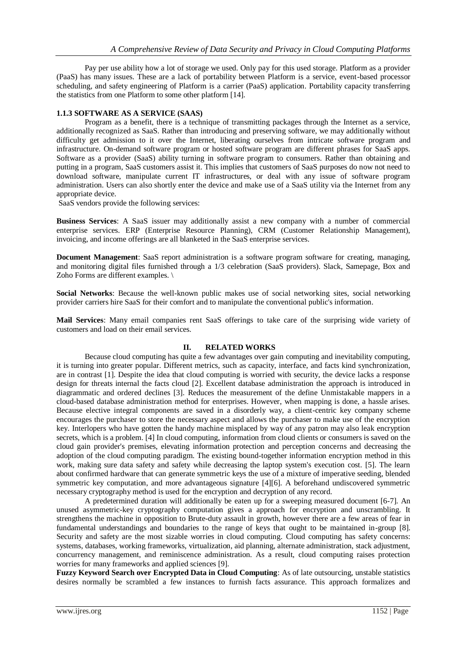Pay per use ability how a lot of storage we used. Only pay for this used storage. Platform as a provider (PaaS) has many issues. These are a lack of portability between Platform is a service, event-based processor scheduling, and safety engineering of Platform is a carrier (PaaS) application. Portability capacity transferring the statistics from one Platform to some other platform [14].

## **1.1.3 SOFTWARE AS A SERVICE (SAAS)**

Program as a benefit, there is a technique of transmitting packages through the Internet as a service, additionally recognized as SaaS. Rather than introducing and preserving software, we may additionally without difficulty get admission to it over the Internet, liberating ourselves from intricate software program and infrastructure. On-demand software program or hosted software program are different phrases for SaaS apps. Software as a provider (SaaS) ability turning in software program to consumers. Rather than obtaining and putting in a program, SaaS customers assist it. This implies that customers of SaaS purposes do now not need to download software, manipulate current IT infrastructures, or deal with any issue of software program administration. Users can also shortly enter the device and make use of a SaaS utility via the Internet from any appropriate device.

SaaS vendors provide the following services:

**Business Services**: A SaaS issuer may additionally assist a new company with a number of commercial enterprise services. ERP (Enterprise Resource Planning), CRM (Customer Relationship Management), invoicing, and income offerings are all blanketed in the SaaS enterprise services.

**Document Management**: SaaS report administration is a software program software for creating, managing, and monitoring digital files furnished through a 1/3 celebration (SaaS providers). Slack, Samepage, Box and Zoho Forms are different examples. \

**Social Networks**: Because the well-known public makes use of social networking sites, social networking provider carriers hire SaaS for their comfort and to manipulate the conventional public's information.

**Mail Services**: Many email companies rent SaaS offerings to take care of the surprising wide variety of customers and load on their email services.

#### **II. RELATED WORKS**

Because cloud computing has quite a few advantages over gain computing and inevitability computing, it is turning into greater popular. Different metrics, such as capacity, interface, and facts kind synchronization, are in contrast [1]. Despite the idea that cloud computing is worried with security, the device lacks a response design for threats internal the facts cloud [2]. Excellent database administration the approach is introduced in diagrammatic and ordered declines [3]. Reduces the measurement of the define Unmistakable mappers in a cloud-based database administration method for enterprises. However, when mapping is done, a hassle arises. Because elective integral components are saved in a disorderly way, a client-centric key company scheme encourages the purchaser to store the necessary aspect and allows the purchaser to make use of the encryption key. Interlopers who have gotten the handy machine misplaced by way of any patron may also leak encryption secrets, which is a problem. [4] In cloud computing, information from cloud clients or consumers is saved on the cloud gain provider's premises, elevating information protection and perception concerns and decreasing the adoption of the cloud computing paradigm. The existing bound-together information encryption method in this work, making sure data safety and safety while decreasing the laptop system's execution cost. [5]. The learn about confirmed hardware that can generate symmetric keys the use of a mixture of imperative seeding, blended symmetric key computation, and more advantageous signature [4][6]. A beforehand undiscovered symmetric necessary cryptography method is used for the encryption and decryption of any record.

A predetermined duration will additionally be eaten up for a sweeping measured document [6-7]. An unused asymmetric-key cryptography computation gives a approach for encryption and unscrambling. It strengthens the machine in opposition to Brute-duty assault in growth, however there are a few areas of fear in fundamental understandings and boundaries to the range of keys that ought to be maintained in-group [8]. Security and safety are the most sizable worries in cloud computing. Cloud computing has safety concerns: systems, databases, working frameworks, virtualization, aid planning, alternate administration, stack adjustment, concurrency management, and reminiscence administration. As a result, cloud computing raises protection worries for many frameworks and applied sciences [9].

**Fuzzy Keyword Search over Encrypted Data in Cloud Computing**: As of late outsourcing, unstable statistics desires normally be scrambled a few instances to furnish facts assurance. This approach formalizes and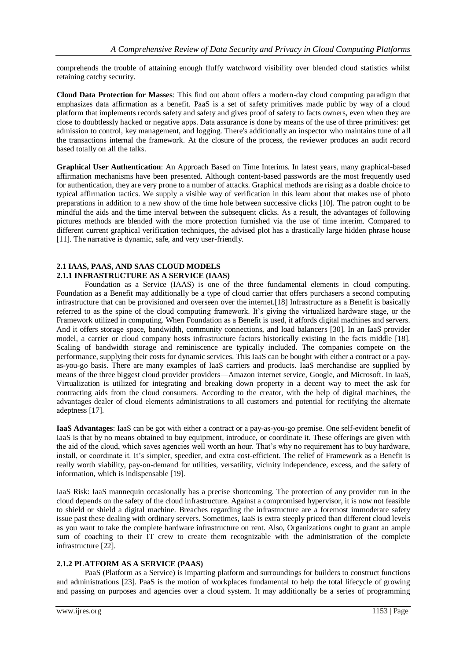comprehends the trouble of attaining enough fluffy watchword visibility over blended cloud statistics whilst retaining catchy security.

**Cloud Data Protection for Masses**: This find out about offers a modern-day cloud computing paradigm that emphasizes data affirmation as a benefit. PaaS is a set of safety primitives made public by way of a cloud platform that implements records safety and safety and gives proof of safety to facts owners, even when they are close to doubtlessly hacked or negative apps. Data assurance is done by means of the use of three primitives: get admission to control, key management, and logging. There's additionally an inspector who maintains tune of all the transactions internal the framework. At the closure of the process, the reviewer produces an audit record based totally on all the talks.

**Graphical User Authentication**: An Approach Based on Time Interims. In latest years, many graphical-based affirmation mechanisms have been presented. Although content-based passwords are the most frequently used for authentication, they are very prone to a number of attacks. Graphical methods are rising as a doable choice to typical affirmation tactics. We supply a visible way of verification in this learn about that makes use of photo preparations in addition to a new show of the time hole between successive clicks [10]. The patron ought to be mindful the aids and the time interval between the subsequent clicks. As a result, the advantages of following pictures methods are blended with the more protection furnished via the use of time interim. Compared to different current graphical verification techniques, the advised plot has a drastically large hidden phrase house [11]. The narrative is dynamic, safe, and very user-friendly.

#### **2.1 IAAS, PAAS, AND SAAS CLOUD MODELS 2.1.1 INFRASTRUCTURE AS A SERVICE (IAAS)**

Foundation as a Service (IAAS) is one of the three fundamental elements in cloud computing. Foundation as a Benefit may additionally be a type of cloud carrier that offers purchasers a second computing infrastructure that can be provisioned and overseen over the internet.[18] Infrastructure as a Benefit is basically referred to as the spine of the cloud computing framework. It's giving the virtualized hardware stage, or the Framework utilized in computing. When Foundation as a Benefit is used, it affords digital machines and servers. And it offers storage space, bandwidth, community connections, and load balancers [30]. In an IaaS provider model, a carrier or cloud company hosts infrastructure factors historically existing in the facts middle [18]. Scaling of bandwidth storage and reminiscence are typically included. The companies compete on the performance, supplying their costs for dynamic services. This IaaS can be bought with either a contract or a payas-you-go basis. There are many examples of IaaS carriers and products. IaaS merchandise are supplied by means of the three biggest cloud provider providers—Amazon internet service, Google, and Microsoft. In IaaS, Virtualization is utilized for integrating and breaking down property in a decent way to meet the ask for contracting aids from the cloud consumers. According to the creator, with the help of digital machines, the advantages dealer of cloud elements administrations to all customers and potential for rectifying the alternate adeptness [17].

**IaaS Advantages**: IaaS can be got with either a contract or a pay-as-you-go premise. One self-evident benefit of IaaS is that by no means obtained to buy equipment, introduce, or coordinate it. These offerings are given with the aid of the cloud, which saves agencies well worth an hour. That's why no requirement has to buy hardware, install, or coordinate it. It's simpler, speedier, and extra cost-efficient. The relief of Framework as a Benefit is really worth viability, pay-on-demand for utilities, versatility, vicinity independence, excess, and the safety of information, which is indispensable [19].

IaaS Risk: IaaS mannequin occasionally has a precise shortcoming. The protection of any provider run in the cloud depends on the safety of the cloud infrastructure. Against a compromised hypervisor, it is now not feasible to shield or shield a digital machine. Breaches regarding the infrastructure are a foremost immoderate safety issue past these dealing with ordinary servers. Sometimes, IaaS is extra steeply priced than different cloud levels as you want to take the complete hardware infrastructure on rent. Also, Organizations ought to grant an ample sum of coaching to their IT crew to create them recognizable with the administration of the complete infrastructure [22].

## **2.1.2 PLATFORM AS A SERVICE (PAAS)**

PaaS (Platform as a Service) is imparting platform and surroundings for builders to construct functions and administrations [23]. PaaS is the motion of workplaces fundamental to help the total lifecycle of growing and passing on purposes and agencies over a cloud system. It may additionally be a series of programming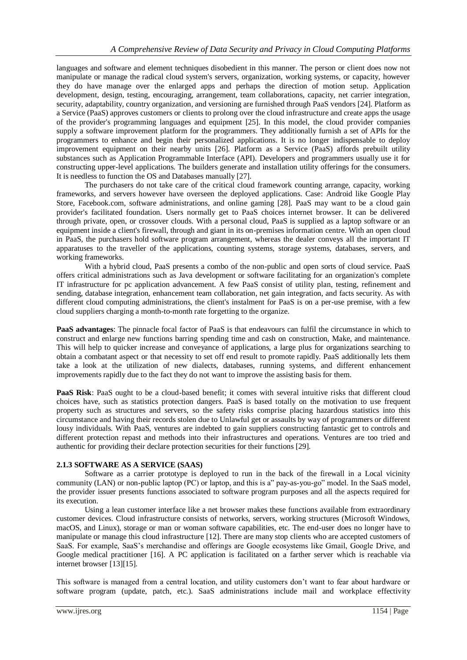languages and software and element techniques disobedient in this manner. The person or client does now not manipulate or manage the radical cloud system's servers, organization, working systems, or capacity, however they do have manage over the enlarged apps and perhaps the direction of motion setup. Application development, design, testing, encouraging, arrangement, team collaborations, capacity, net carrier integration, security, adaptability, country organization, and versioning are furnished through PaaS vendors [24]. Platform as a Service (PaaS) approves customers or clients to prolong over the cloud infrastructure and create apps the usage of the provider's programming languages and equipment [25]. In this model, the cloud provider companies supply a software improvement platform for the programmers. They additionally furnish a set of APIs for the programmers to enhance and begin their personalized applications. It is no longer indispensable to deploy improvement equipment on their nearby units [26]. Platform as a Service (PaaS) affords prebuilt utility substances such as Application Programmable Interface (API). Developers and programmers usually use it for constructing upper-level applications. The builders generate and installation utility offerings for the consumers. It is needless to function the OS and Databases manually [27].

The purchasers do not take care of the critical cloud framework counting arrange, capacity, working frameworks, and servers however have overseen the deployed applications. Case: Android like Google Play Store, Facebook.com, software administrations, and online gaming [28]. PaaS may want to be a cloud gain provider's facilitated foundation. Users normally get to PaaS choices internet browser. It can be delivered through private, open, or crossover clouds. With a personal cloud, PaaS is supplied as a laptop software or an equipment inside a client's firewall, through and giant in its on-premises information centre. With an open cloud in PaaS, the purchasers hold software program arrangement, whereas the dealer conveys all the important IT apparatuses to the traveller of the applications, counting systems, storage systems, databases, servers, and working frameworks.

With a hybrid cloud, PaaS presents a combo of the non-public and open sorts of cloud service. PaaS offers critical administrations such as Java development or software facilitating for an organization's complete IT infrastructure for pc application advancement. A few PaaS consist of utility plan, testing, refinement and sending, database integration, enhancement team collaboration, net gain integration, and facts security. As with different cloud computing administrations, the client's instalment for PaaS is on a per-use premise, with a few cloud suppliers charging a month-to-month rate forgetting to the organize.

**PaaS advantages**: The pinnacle focal factor of PaaS is that endeavours can fulfil the circumstance in which to construct and enlarge new functions barring spending time and cash on construction, Make, and maintenance. This will help to quicker increase and conveyance of applications, a large plus for organizations searching to obtain a combatant aspect or that necessity to set off end result to promote rapidly. PaaS additionally lets them take a look at the utilization of new dialects, databases, running systems, and different enhancement improvements rapidly due to the fact they do not want to improve the assisting basis for them.

**PaaS Risk**: PaaS ought to be a cloud-based benefit; it comes with several intuitive risks that different cloud choices have, such as statistics protection dangers. PaaS is based totally on the motivation to use frequent property such as structures and servers, so the safety risks comprise placing hazardous statistics into this circumstance and having their records stolen due to Unlawful get or assaults by way of programmers or different lousy individuals. With PaaS, ventures are indebted to gain suppliers constructing fantastic get to controls and different protection repast and methods into their infrastructures and operations. Ventures are too tried and authentic for providing their declare protection securities for their functions [29].

## **2.1.3 SOFTWARE AS A SERVICE (SAAS)**

Software as a carrier prototype is deployed to run in the back of the firewall in a Local vicinity community (LAN) or non-public laptop (PC) or laptop, and this is a" pay-as-you-go" model. In the SaaS model, the provider issuer presents functions associated to software program purposes and all the aspects required for its execution.

Using a lean customer interface like a net browser makes these functions available from extraordinary customer devices. Cloud infrastructure consists of networks, servers, working structures (Microsoft Windows, macOS, and Linux), storage or man or woman software capabilities, etc. The end-user does no longer have to manipulate or manage this cloud infrastructure [12]. There are many stop clients who are accepted customers of SaaS. For example, SaaS's merchandise and offerings are Google ecosystems like Gmail, Google Drive, and Google medical practitioner [16]. A PC application is facilitated on a farther server which is reachable via internet browser [13][15].

This software is managed from a central location, and utility customers don't want to fear about hardware or software program (update, patch, etc.). SaaS administrations include mail and workplace effectivity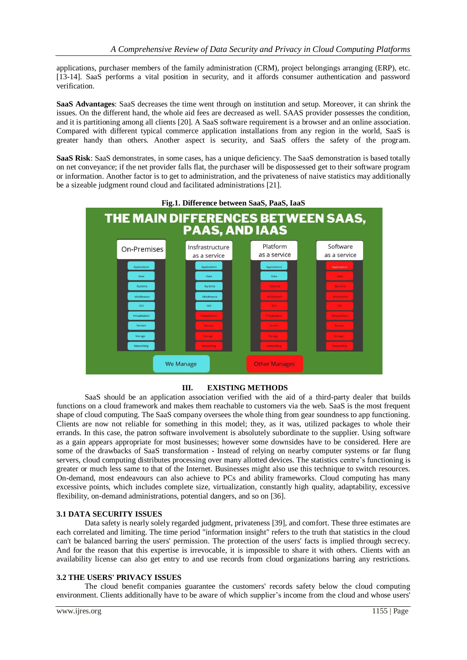applications, purchaser members of the family administration (CRM), project belongings arranging (ERP), etc. [13-14]. SaaS performs a vital position in security, and it affords consumer authentication and password verification.

**SaaS Advantages**: SaaS decreases the time went through on institution and setup. Moreover, it can shrink the issues. On the different hand, the whole aid fees are decreased as well. SAAS provider possesses the condition, and it is partitioning among all clients [20]. A SaaS software requirement is a browser and an online association. Compared with different typical commerce application installations from any region in the world, SaaS is greater handy than others. Another aspect is security, and SaaS offers the safety of the program.

**SaaS Risk**: SaaS demonstrates, in some cases, has a unique deficiency. The SaaS demonstration is based totally on net conveyance; if the net provider falls flat, the purchaser will be dispossessed get to their software program or information. Another factor is to get to administration, and the privateness of naive statistics may additionally be a sizeable judgment round cloud and facilitated administrations [21].



## **III. EXISTING METHODS**

SaaS should be an application association verified with the aid of a third-party dealer that builds functions on a cloud framework and makes them reachable to customers via the web. SaaS is the most frequent shape of cloud computing. The SaaS company oversees the whole thing from gear soundness to app functioning. Clients are now not reliable for something in this model; they, as it was, utilized packages to whole their errands. In this case, the patron software involvement is absolutely subordinate to the supplier. Using software as a gain appears appropriate for most businesses; however some downsides have to be considered. Here are some of the drawbacks of SaaS transformation - Instead of relying on nearby computer systems or far flung servers, cloud computing distributes processing over many allotted devices. The statistics centre's functioning is greater or much less same to that of the Internet. Businesses might also use this technique to switch resources. On-demand, most endeavours can also achieve to PCs and ability frameworks. Cloud computing has many excessive points, which includes complete size, virtualization, constantly high quality, adaptability, excessive flexibility, on-demand administrations, potential dangers, and so on [36].

## **3.1 DATA SECURITY ISSUES**

Data safety is nearly solely regarded judgment, privateness [39], and comfort. These three estimates are each correlated and limiting. The time period "information insight" refers to the truth that statistics in the cloud can't be balanced barring the users' permission. The protection of the users' facts is implied through secrecy. And for the reason that this expertise is irrevocable, it is impossible to share it with others. Clients with an availability license can also get entry to and use records from cloud organizations barring any restrictions.

#### **3.2 THE USERS' PRIVACY ISSUES**

The cloud benefit companies guarantee the customers' records safety below the cloud computing environment. Clients additionally have to be aware of which supplier's income from the cloud and whose users'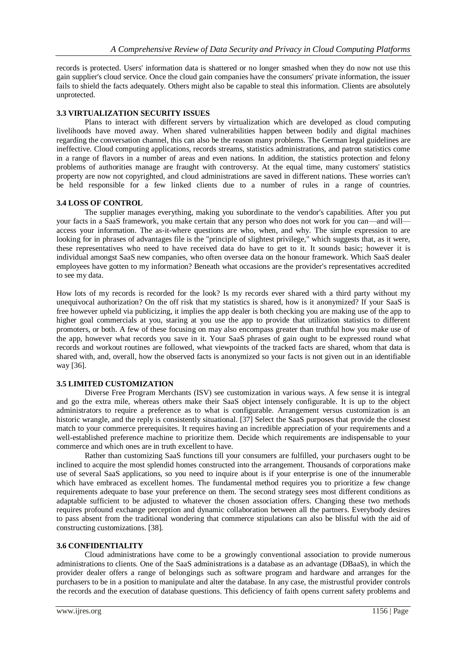records is protected. Users' information data is shattered or no longer smashed when they do now not use this gain supplier's cloud service. Once the cloud gain companies have the consumers' private information, the issuer fails to shield the facts adequately. Others might also be capable to steal this information. Clients are absolutely unprotected.

## **3.3 VIRTUALIZATION SECURITY ISSUES**

Plans to interact with different servers by virtualization which are developed as cloud computing livelihoods have moved away. When shared vulnerabilities happen between bodily and digital machines regarding the conversation channel, this can also be the reason many problems. The German legal guidelines are ineffective. Cloud computing applications, records streams, statistics administrations, and patron statistics come in a range of flavors in a number of areas and even nations. In addition, the statistics protection and felony problems of authorities manage are fraught with controversy. At the equal time, many customers' statistics property are now not copyrighted, and cloud administrations are saved in different nations. These worries can't be held responsible for a few linked clients due to a number of rules in a range of countries.

#### **3.4 LOSS OF CONTROL**

The supplier manages everything, making you subordinate to the vendor's capabilities. After you put your facts in a SaaS framework, you make certain that any person who does not work for you can—and will access your information. The as-it-where questions are who, when, and why. The simple expression to are looking for in phrases of advantages file is the "principle of slightest privilege," which suggests that, as it were, these representatives who need to have received data do have to get to it. It sounds basic; however it is individual amongst SaaS new companies, who often oversee data on the honour framework. Which SaaS dealer employees have gotten to my information? Beneath what occasions are the provider's representatives accredited to see my data.

How lots of my records is recorded for the look? Is my records ever shared with a third party without my unequivocal authorization? On the off risk that my statistics is shared, how is it anonymized? If your SaaS is free however upheld via publicizing, it implies the app dealer is both checking you are making use of the app to higher goal commercials at you, staring at you use the app to provide that utilization statistics to different promoters, or both. A few of these focusing on may also encompass greater than truthful how you make use of the app, however what records you save in it. Your SaaS phrases of gain ought to be expressed round what records and workout routines are followed, what viewpoints of the tracked facts are shared, whom that data is shared with, and, overall, how the observed facts is anonymized so your facts is not given out in an identifiable way [36].

## **3.5 LIMITED CUSTOMIZATION**

Diverse Free Program Merchants (ISV) see customization in various ways. A few sense it is integral and go the extra mile, whereas others make their SaaS object intensely configurable. It is up to the object administrators to require a preference as to what is configurable. Arrangement versus customization is an historic wrangle, and the reply is consistently situational. [37] Select the SaaS purposes that provide the closest match to your commerce prerequisites. It requires having an incredible appreciation of your requirements and a well-established preference machine to prioritize them. Decide which requirements are indispensable to your commerce and which ones are in truth excellent to have.

Rather than customizing SaaS functions till your consumers are fulfilled, your purchasers ought to be inclined to acquire the most splendid homes constructed into the arrangement. Thousands of corporations make use of several SaaS applications, so you need to inquire about is if your enterprise is one of the innumerable which have embraced as excellent homes. The fundamental method requires you to prioritize a few change requirements adequate to base your preference on them. The second strategy sees most different conditions as adaptable sufficient to be adjusted to whatever the chosen association offers. Changing these two methods requires profound exchange perception and dynamic collaboration between all the partners. Everybody desires to pass absent from the traditional wondering that commerce stipulations can also be blissful with the aid of constructing customizations. [38].

#### **3.6 CONFIDENTIALITY**

Cloud administrations have come to be a growingly conventional association to provide numerous administrations to clients. One of the SaaS administrations is a database as an advantage (DBaaS), in which the provider dealer offers a range of belongings such as software program and hardware and arranges for the purchasers to be in a position to manipulate and alter the database. In any case, the mistrustful provider controls the records and the execution of database questions. This deficiency of faith opens current safety problems and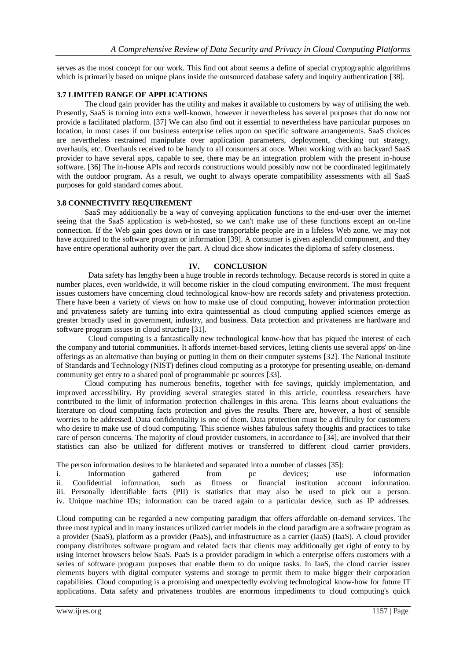serves as the most concept for our work. This find out about seems a define of special cryptographic algorithms which is primarily based on unique plans inside the outsourced database safety and inquiry authentication [38].

## **3.7 LIMITED RANGE OF APPLICATIONS**

The cloud gain provider has the utility and makes it available to customers by way of utilising the web. Presently, SaaS is turning into extra well-known, however it nevertheless has several purposes that do now not provide a facilitated platform. [37] We can also find out it essential to nevertheless have particular purposes on location, in most cases if our business enterprise relies upon on specific software arrangements. SaaS choices are nevertheless restrained manipulate over application parameters, deployment, checking out strategy, overhauls, etc. Overhauls received to be handy to all consumers at once. When working with an backyard SaaS provider to have several apps, capable to see, there may be an integration problem with the present in-house software. [36] The in-house APIs and records constructions would possibly now not be coordinated legitimately with the outdoor program. As a result, we ought to always operate compatibility assessments with all SaaS purposes for gold standard comes about.

## **3.8 CONNECTIVITY REQUIREMENT**

SaaS may additionally be a way of conveying application functions to the end-user over the internet seeing that the SaaS application is web-hosted, so we can't make use of these functions except an on-line connection. If the Web gain goes down or in case transportable people are in a lifeless Web zone, we may not have acquired to the software program or information [39]. A consumer is given asplendid component, and they have entire operational authority over the part. A cloud dice show indicates the diploma of safety closeness.

#### **IV. CONCLUSION**

Data safety has lengthy been a huge trouble in records technology. Because records is stored in quite a number places, even worldwide, it will become riskier in the cloud computing environment. The most frequent issues customers have concerning cloud technological know-how are records safety and privateness protection. There have been a variety of views on how to make use of cloud computing, however information protection and privateness safety are turning into extra quintessential as cloud computing applied sciences emerge as greater broadly used in government, industry, and business. Data protection and privateness are hardware and software program issues in cloud structure [31].

Cloud computing is a fantastically new technological know-how that has piqued the interest of each the company and tutorial communities. It affords internet-based services, letting clients use several apps' on-line offerings as an alternative than buying or putting in them on their computer systems [32]. The National Institute of Standards and Technology (NIST) defines cloud computing as a prototype for presenting useable, on-demand community get entry to a shared pool of programmable pc sources [33].

Cloud computing has numerous benefits, together with fee savings, quickly implementation, and improved accessibility. By providing several strategies stated in this article, countless researchers have contributed to the limit of information protection challenges in this arena. This learns about evaluations the literature on cloud computing facts protection and gives the results. There are, however, a host of sensible worries to be addressed. Data confidentiality is one of them. Data protection must be a difficulty for customers who desire to make use of cloud computing. This science wishes fabulous safety thoughts and practices to take care of person concerns. The majority of cloud provider customers, in accordance to [34], are involved that their statistics can also be utilized for different motives or transferred to different cloud carrier providers.

The person information desires to be blanketed and separated into a number of classes [35]:

i. Information gathered from pc devices; use information ii. Confidential information, such as fitness or financial institution account information. iii. Personally identifiable facts (PII) is statistics that may also be used to pick out a person. iv. Unique machine IDs; information can be traced again to a particular device, such as IP addresses.

Cloud computing can be regarded a new computing paradigm that offers affordable on-demand services. The three most typical and in many instances utilized carrier models in the cloud paradigm are a software program as a provider (SaaS), platform as a provider (PaaS), and infrastructure as a carrier (IaaS) (IaaS). A cloud provider company distributes software program and related facts that clients may additionally get right of entry to by using internet browsers below SaaS. PaaS is a provider paradigm in which a enterprise offers customers with a series of software program purposes that enable them to do unique tasks. In IaaS, the cloud carrier issuer elements buyers with digital computer systems and storage to permit them to make bigger their corporation capabilities. Cloud computing is a promising and unexpectedly evolving technological know-how for future IT applications. Data safety and privateness troubles are enormous impediments to cloud computing's quick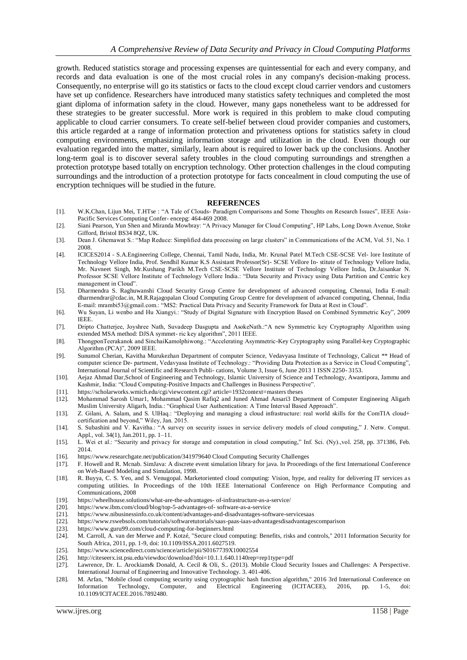growth. Reduced statistics storage and processing expenses are quintessential for each and every company, and records and data evaluation is one of the most crucial roles in any company's decision-making process. Consequently, no enterprise will go its statistics or facts to the cloud except cloud carrier vendors and customers have set up confidence. Researchers have introduced many statistics safety techniques and completed the most giant diploma of information safety in the cloud. However, many gaps nonetheless want to be addressed for these strategies to be greater successful. More work is required in this problem to make cloud computing applicable to cloud carrier consumers. To create self-belief between cloud provider companies and customers, this article regarded at a range of information protection and privateness options for statistics safety in cloud computing environments, emphasizing information storage and utilization in the cloud. Even though our evaluation regarded into the matter, similarly, learn about is required to lower back up the conclusions. Another long-term goal is to discover several safety troubles in the cloud computing surroundings and strengthen a protection prototype based totally on encryption technology. Other protection challenges in the cloud computing surroundings and the introduction of a protection prototype for facts concealment in cloud computing the use of encryption techniques will be studied in the future.

#### **REFERENCES**

- [1]. W.K.Chan, Lijun Mei, T.HTse : "A Tale of Clouds- Paradigm Comparisons and Some Thoughts on Research Issues", IEEE Asia-Pacific Services Computing Confer- encepg: 464-469 2008.
- [2]. Siani Pearson, Yun Shen and Miranda Mowbray: "A Privacy Manager for Cloud Computing", HP Labs, Long Down Avenue, Stoke Gifford, Bristol BS34 8QZ, UK.
- [3]. Dean J. Ghemawat S.: "Map Reduce: Simplified data processing on large clusters" in Communications of the ACM, Vol. 51, No. 1 2008.
- [4]. ICICES2014 S.A.Engineering College, Chennai, Tamil Nadu, India, Mr. Krunal Patel M.Tech CSE-SCSE Vel- lore Institute of Technology Vellore India, Prof. Sendhil Kumar K.S Assistant Professor(Sr)- SCSE Vellore In- stitute of Technology Vellore India, Mr. Navneet Singh, Mr.Kushang Parikh M.Tech CSE-SCSE Vellore Institute of Technology Vellore India, Dr.Jaisankar N. Professor SCSE Vellore Institute of Technology Vellore India.: "Data Security and Privacy using Data Partition and Centric key management in Cloud".
- [5]. Dharmendra S. Raghuwanshi Cloud Security Group Centre for development of advanced computing, Chennai, India E-mail: dharmendrar@cdac.in, M.R.Rajagopalan Cloud Computing Group Centre for development of advanced computing, Chennai, India E-mail: mrambi53@gmail.com.: "MS2: Practical Data Privacy and Security Framework for Data at Rest in Cloud".
- [6]. Wu Suyan, Li wenbo and Hu Xiangyi.: "Study of Digital Signature with Encryption Based on Combined Symmetric Key", 2009 IEEE.
- [7]. Dripto Chatterjee, Joyshree Nath, Suvadeep Dasgupta and AsokeNath.:"A new Symmetric key Cryptography Algorithm using extended MSA method: DJSA symmet- ric key algorithm", 2011 IEEE.
- [8]. ThongponTeerakanok and SinchaiKamolphiwong.: "Accelerating Asymmetric-Key Cryptography using Parallel-key Cryptographic Algorithm (PCA)", 2009 IEEE.
- [9]. Sunumol Cherian, Kavitha Murukezhan Department of computer Science, Vedavyasa Institute of Technology, Calicut \*\* Head of computer science De- partment, Vedavyasa Institute of Technology.: "Providing Data Protection as a Service in Cloud Computing", International Journal of Scientific and Research Publi- cations, Volume 3, Issue 6, June 2013 1 ISSN 2250- 3153.
- [10]. Aejaz Ahmad Dar,School of Engineering and Technology, Islamic University of Science and Technology, Awantipora, Jammu and Kashmir, India: "Cloud Computing-Positive Impacts and Challenges in Business Perspective".
- 
- [11]. https://scholarworks.wmich.edu/cgi/viewcontent.cgi? article=1932context=masters theses [12]. Mohammad Sarosh Umar1, Mohammad Qasim Rafiq2 and Juned Ahmad Ansari3 Department of Computer Engineeing Aligarh Muslim University Aligarh, India.: "Graphical User Authentication: A Time Interval Based Approach".
- [13]. Z. Gilani, A. Salam, and S. UlHaq.: "Deploying and managing a cloud infrastructure: real world skills for the ComTIA cloud+ certification and beyond," Wiley, Jan. 2015.
- [14]. S. Subashini and V. Kavitha.: "A survey on security issues in service delivery models of cloud computing," J. Netw. Comput. Appl., vol. 34(1), Jan.2011, pp. 1–11.
- [15]. L. Wei et al.: "Security and privacy for storage and computation in cloud computing," Inf. Sci. (Ny).,vol. 258, pp. 371386, Feb. 2014.
- [16]. https://www.researchgate.net/publication/341979640 Cloud Computing Security Challenges
- [17]. F. Howell and R. Mcnab. SimJava: A discrete event simulation library for java. In Proceedings of the first International Conference on Web-Based Modeling and Simulation, 1998.
- [18]. R. Buyya, C. S. Yeo, and S. Venugopal. Marketoriented cloud computing: Vision, hype, and reality for delivering IT services a s computing utilities. In Proceedings of the 10th IEEE International Conference on High Performance Computing and Communications, 2008
- [19]. https://wheelhouse.solutions/what-are-the-advantages- of-infrastructure-as-a-service/
- [20]. https://www.ibm.com/cloud/blog/top-5-advantages-of- software-as-a-service
- [21]. https://www.nibusinessinfo.co.uk/content/advantages-and-disadvantages-software-servicesaas
- [22]. https://www.rswebsols.com/tutorials/softwaretutorials/saas-paas-iaas-advantagesdisadvantagescomparison
- [23]. https://www.guru99.com/cloud-computing-for-beginners.html
- [24]. M. Carroll, A. van der Merwe and P. Kotzé, "Secure cloud computing: Benefits, risks and controls," 2011 Information Security for South Africa, 2011, pp. 1-9, doi: 10.1109/ISSA.2011.6027519.
- [25]. https://www.sciencedirect.com/science/article/pii/S0167739X10002554
- [26]. http://citeseerx.ist.psu.edu/viewdoc/download?doi=10.1.1.640.1140rep=rep1type=pdf
- [27]. Lawrence, Dr. L. Arockiam& Donald, A. Cecil & Oli, S.. (2013). Mobile Cloud Security Issues and Challenges: A Perspective. International Journal of Engineering and Innovative Technology. 3. 401-406.
- [28]. M. Arfan, "Mobile cloud computing security using cryptographic hash function algorithm," 2016 3rd International Conference on Information Technology, Computer, and Electrical Engineering (ICITACEE), 2016, pp. 1-5, doi: 10.1109/ICITACEE.2016.7892480.